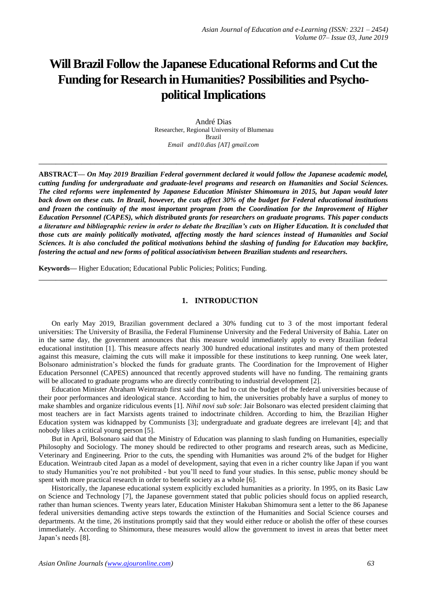# **Will Brazil Follow the Japanese Educational Reforms and Cut the Funding for Research in Humanities? Possibilities and Psychopolitical Implications**

André Dias Researcher, Regional University of Blumenau Brazil *[Email](mailto:and10.dias@gmail.com) and10.dias [AT] gmail.com*

**\_\_\_\_\_\_\_\_\_\_\_\_\_\_\_\_\_\_\_\_\_\_\_\_\_\_\_\_\_\_\_\_\_\_\_\_\_\_\_\_\_\_\_\_\_\_\_\_\_\_\_\_\_\_\_\_\_\_\_\_\_\_\_\_\_\_\_\_\_\_\_\_\_\_\_\_\_\_\_\_\_**

**ABSTRACT—** *On May 2019 Brazilian Federal government declared it would follow the Japanese academic model, cutting funding for undergraduate and graduate-level programs and research on Humanities and Social Sciences. The cited reforms were implemented by Japanese Education Minister Shimomura in 2015, but Japan would later back down on these cuts. In Brazil, however, the cuts affect 30% of the budget for Federal educational institutions and frozen the continuity of the most important program from the Coordination for the Improvement of Higher Education Personnel (CAPES), which distributed grants for researchers on graduate programs. This paper conducts a literature and bibliographic review in order to debate the Brazilian's cuts on Higher Education. It is concluded that those cuts are mainly politically motivated, affecting mostly the hard sciences instead of Humanities and Social Sciences. It is also concluded the political motivations behind the slashing of funding for Education may backfire, fostering the actual and new forms of political associativism between Brazilian students and researchers.*

**Keywords—** Higher Education; Educational Public Policies; Politics; Funding.

## **1. INTRODUCTION**

**\_\_\_\_\_\_\_\_\_\_\_\_\_\_\_\_\_\_\_\_\_\_\_\_\_\_\_\_\_\_\_\_\_\_\_\_\_\_\_\_\_\_\_\_\_\_\_\_\_\_\_\_\_\_\_\_\_\_\_\_\_\_\_\_\_\_\_\_\_\_\_\_\_\_\_\_\_\_\_\_\_**

On early May 2019, Brazilian government declared a 30% funding cut to 3 of the most important federal universities: The University of Brasilia, the Federal Fluminense University and the Federal University of Bahia. Later on in the same day, the government announces that this measure would immediately apply to every Brazilian federal educational institution [1]. This measure affects nearly 300 hundred educational institutes and many of them protested against this measure, claiming the cuts will make it impossible for these institutions to keep running. One week later, Bolsonaro administration's blocked the funds for graduate grants. The Coordination for the Improvement of Higher Education Personnel (CAPES) announced that recently approved students will have no funding. The remaining grants will be allocated to graduate programs who are directly contributing to industrial development [2].

Education Minister Abraham Weintraub first said that he had to cut the budget of the federal universities because of their poor performances and ideological stance. According to him, the universities probably have a surplus of money to make shambles and organize ridiculous events [1]. *Nihil novi sub sole*: Jair Bolsonaro was elected president claiming that most teachers are in fact Marxists agents trained to indoctrinate children. According to him, the Brazilian Higher Education system was kidnapped by Communists [3]; undergraduate and graduate degrees are irrelevant [4]; and that nobody likes a critical young person [5].

But in April, Bolsonaro said that the Ministry of Education was planning to slash funding on Humanities, especially Philosophy and Sociology. The money should be redirected to other programs and research areas, such as Medicine, Veterinary and Engineering. Prior to the cuts, the spending with Humanities was around 2% of the budget for Higher Education. Weintraub cited Japan as a model of development, saying that even in a richer country like Japan if you want to study Humanities you're not prohibited - but you'll need to fund your studies. In this sense, public money should be spent with more practical research in order to benefit society as a whole [6].

Historically, the Japanese educational system explicitly excluded humanities as a priority. In 1995, on its Basic Law on Science and Technology [7], the Japanese government stated that public policies should focus on applied research, rather than human sciences. Twenty years later, Education Minister Hakuban Shimomura sent a letter to the 86 Japanese federal universities demanding active steps towards the extinction of the Humanities and Social Science courses and departments. At the time, 26 institutions promptly said that they would either reduce or abolish the offer of these courses immediately. According to Shimomura, these measures would allow the government to invest in areas that better meet Japan's needs [8].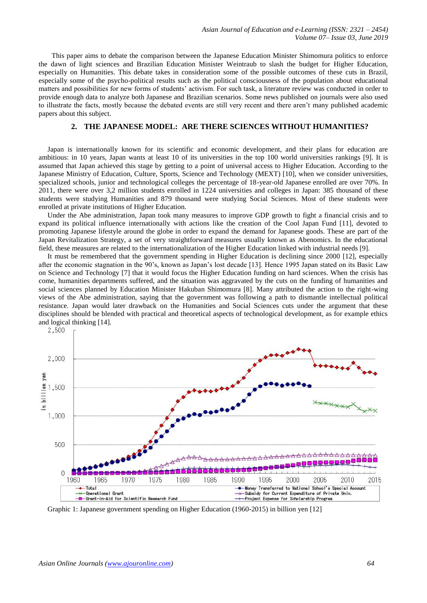This paper aims to debate the comparison between the Japanese Education Minister Shimomura politics to enforce the dawn of light sciences and Brazilian Education Minister Weintraub to slash the budget for Higher Education, especially on Humanities. This debate takes in consideration some of the possible outcomes of these cuts in Brazil, especially some of the psycho-political results such as the political consciousness of the population about educational matters and possibilities for new forms of students' activism. For such task, a literature review was conducted in order to provide enough data to analyze both Japanese and Brazilian scenarios. Some news published on journals were also used to illustrate the facts, mostly because the debated events are still very recent and there aren't many published academic papers about this subject.

### **2. THE JAPANESE MODEL: ARE THERE SCIENCES WITHOUT HUMANITIES?**

Japan is internationally known for its scientific and economic development, and their plans for education are ambitious: in 10 years, Japan wants at least 10 of its universities in the top 100 world universities rankings [9]. It is assumed that Japan achieved this stage by getting to a point of universal access to Higher Education. According to the Japanese Ministry of Education, Culture, Sports, Science and Technology (MEXT) [10], when we consider universities, specialized schools, junior and technological colleges the percentage of 18-year-old Japanese enrolled are over 70%. In 2011, there were over 3,2 million students enrolled in 1224 universities and colleges in Japan: 385 thousand of these students were studying Humanities and 879 thousand were studying Social Sciences. Most of these students were enrolled at private institutions of Higher Education.

Under the Abe administration, Japan took many measures to improve GDP growth to fight a financial crisis and to expand its political influence internationally with actions like the creation of the Cool Japan Fund [11], devoted to promoting Japanese lifestyle around the globe in order to expand the demand for Japanese goods. These are part of the Japan Revitalization Strategy, a set of very straightforward measures usually known as Abenomics. In the educational field, these measures are related to the internationalization of the Higher Education linked with industrial needs [9].

It must be remembered that the government spending in Higher Education is declining since 2000 [12], especially after the economic stagnation in the 90's, known as Japan's lost decade [13]. Hence 1995 Japan stated on its Basic Law on Science and Technology [7] that it would focus the Higher Education funding on hard sciences. When the crisis has come, humanities departments suffered, and the situation was aggravated by the cuts on the funding of humanities and social sciences planned by Education Minister Hakuban Shimomura [8]. Many attributed the action to the right-wing views of the Abe administration, saying that the government was following a path to dismantle intellectual political resistance. Japan would later drawback on the Humanities and Social Sciences cuts under the argument that these disciplines should be blended with practical and theoretical aspects of technological development, as for example ethics and logical thinking [14].<br>2,500  $\Gamma$ 



Graphic 1: Japanese government spending on Higher Education (1960-2015) in billion yen [12]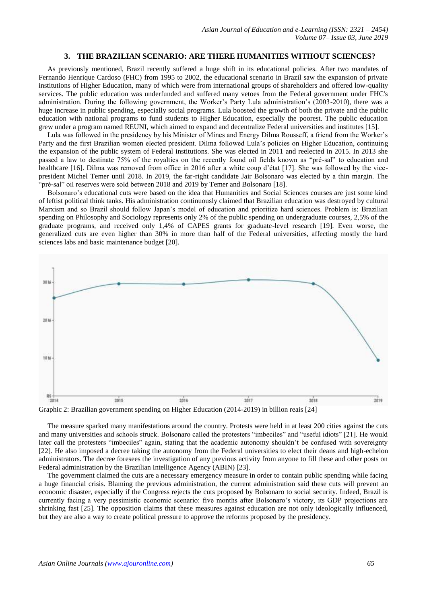#### **3. THE BRAZILIAN SCENARIO: ARE THERE HUMANITIES WITHOUT SCIENCES?**

As previously mentioned, Brazil recently suffered a huge shift in its educational policies. After two mandates of Fernando Henrique Cardoso (FHC) from 1995 to 2002, the educational scenario in Brazil saw the expansion of private institutions of Higher Education, many of which were from international groups of shareholders and offered low-quality services. The public education was underfunded and suffered many vetoes from the Federal government under FHC's administration. During the following government, the Worker's Party Lula administration's (2003-2010), there was a huge increase in public spending, especially social programs. Lula boosted the growth of both the private and the public education with national programs to fund students to Higher Education, especially the poorest. The public education grew under a program named REUNI, which aimed to expand and decentralize Federal universities and institutes [15].

Lula was followed in the presidency by his Minister of Mines and Energy Dilma Rousseff, a friend from the Worker's Party and the first Brazilian women elected president. Dilma followed Lula's policies on Higher Education, continuing the expansion of the public system of Federal institutions. She was elected in 2011 and reelected in 2015. In 2013 she passed a law to destinate 75% of the royalties on the recently found oil fields known as "pré-sal" to education and healthcare [16]. Dilma was removed from office in 2016 after a white coup d'état [17]. She was followed by the vicepresident Michel Temer until 2018. In 2019, the far-right candidate Jair Bolsonaro was elected by a thin margin. The "pré-sal" oil reserves were sold between 2018 and 2019 by Temer and Bolsonaro [18].

Bolsonaro's educational cuts were based on the idea that Humanities and Social Sciences courses are just some kind of leftist political think tanks. His administration continuously claimed that Brazilian education was destroyed by cultural Marxism and so Brazil should follow Japan's model of education and prioritize hard sciences. Problem is: Brazilian spending on Philosophy and Sociology represents only 2% of the public spending on undergraduate courses, 2,5% of the graduate programs, and received only 1,4% of CAPES grants for graduate-level research [19]. Even worse, the generalized cuts are even higher than 30% in more than half of the Federal universities, affecting mostly the hard sciences labs and basic maintenance budget [20].



Graphic 2: Brazilian government spending on Higher Education (2014-2019) in billion reais [24]

The measure sparked many manifestations around the country. Protests were held in at least 200 cities against the cuts and many universities and schools struck. Bolsonaro called the protesters "imbeciles" and "useful idiots" [21]. He would later call the protesters "imbeciles" again, stating that the academic autonomy shouldn't be confused with sovereignty [22]. He also imposed a decree taking the autonomy from the Federal universities to elect their deans and high-echelon administrators. The decree foresees the investigation of any previous activity from anyone to fill these and other posts on Federal administration by the Brazilian Intelligence Agency (ABIN) [23].

The government claimed the cuts are a necessary emergency measure in order to contain public spending while facing a huge financial crisis. Blaming the previous administration, the current administration said these cuts will prevent an economic disaster, especially if the Congress rejects the cuts proposed by Bolsonaro to social security. Indeed, Brazil is currently facing a very pessimistic economic scenario: five months after Bolsonaro's victory, its GDP projections are shrinking fast [25]. The opposition claims that these measures against education are not only ideologically influenced, but they are also a way to create political pressure to approve the reforms proposed by the presidency.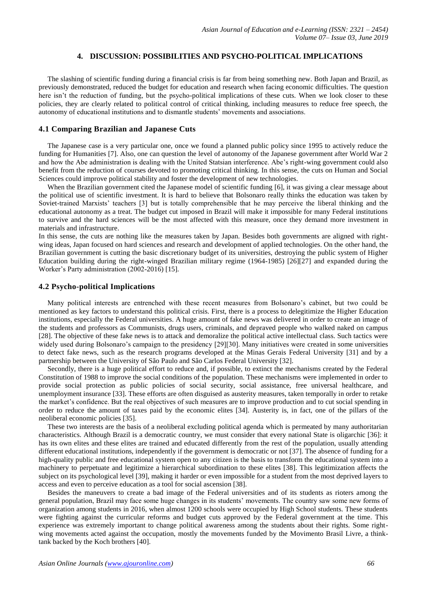#### **4. DISCUSSION: POSSIBILITIES AND PSYCHO-POLITICAL IMPLICATIONS**

The slashing of scientific funding during a financial crisis is far from being something new. Both Japan and Brazil, as previously demonstrated, reduced the budget for education and research when facing economic difficulties. The question here isn't the reduction of funding, but the psycho-political implications of these cuts. When we look closer to these policies, they are clearly related to political control of critical thinking, including measures to reduce free speech, the autonomy of educational institutions and to dismantle students' movements and associations.

#### **4.1 Comparing Brazilian and Japanese Cuts**

The Japanese case is a very particular one, once we found a planned public policy since 1995 to actively reduce the funding for Humanities [7]. Also, one can question the level of autonomy of the Japanese government after World War 2 and how the Abe administration is dealing with the United Statsian interference. Abe's right-wing government could also benefit from the reduction of courses devoted to promoting critical thinking. In this sense, the cuts on Human and Social Sciences could improve political stability and foster the development of new technologies.

When the Brazilian government cited the Japanese model of scientific funding [6], it was giving a clear message about the political use of scientific investment. It is hard to believe that Bolsonaro really thinks the education was taken by Soviet-trained Marxists' teachers [3] but is totally comprehensible that he may perceive the liberal thinking and the educational autonomy as a treat. The budget cut imposed in Brazil will make it impossible for many Federal institutions to survive and the hard sciences will be the most affected with this measure, once they demand more investment in materials and infrastructure.

In this sense, the cuts are nothing like the measures taken by Japan. Besides both governments are aligned with rightwing ideas, Japan focused on hard sciences and research and development of applied technologies. On the other hand, the Brazilian government is cutting the basic discretionary budget of its universities, destroying the public system of Higher Education building during the right-winged Brazilian military regime (1964-1985) [26][27] and expanded during the Worker's Party administration (2002-2016) [15].

#### **4.2 Psycho-political Implications**

Many political interests are entrenched with these recent measures from Bolsonaro's cabinet, but two could be mentioned as key factors to understand this political crisis. First, there is a process to delegitimize the Higher Education institutions, especially the Federal universities. A huge amount of fake news was delivered in order to create an image of the students and professors as Communists, drugs users, criminals, and depraved people who walked naked on campus [28]. The objective of these fake news is to attack and demoralize the political active intellectual class. Such tactics were widely used during Bolsonaro's campaign to the presidency [29][30]. Many initiatives were created in some universities to detect fake news, such as the research programs developed at the Minas Gerais Federal University [31] and by a partnership between the University of São Paulo and São Carlos Federal University [32].

Secondly, there is a huge political effort to reduce and, if possible, to extinct the mechanisms created by the Federal Constitution of 1988 to improve the social conditions of the population. These mechanisms were implemented in order to provide social protection as public policies of social security, social assistance, free universal healthcare, and unemployment insurance [33]. These efforts are often disguised as austerity measures, taken temporally in order to retake the market's confidence. But the real objectives of such measures are to improve production and to cut social spending in order to reduce the amount of taxes paid by the economic elites [34]. Austerity is, in fact, one of the pillars of the neoliberal economic policies [35].

These two interests are the basis of a neoliberal excluding political agenda which is permeated by many authoritarian characteristics. Although Brazil is a democratic country, we must consider that every national State is oligarchic [36]: it has its own elites and these elites are trained and educated differently from the rest of the population, usually attending different educational institutions, independently if the government is democratic or not [37]. The absence of funding for a high-quality public and free educational system open to any citizen is the basis to transform the educational system into a machinery to perpetuate and legitimize a hierarchical subordination to these elites [38]. This legitimization affects the subject on its psychological level [39], making it harder or even impossible for a student from the most deprived layers to access and even to perceive education as a tool for social ascension [38].

Besides the maneuvers to create a bad image of the Federal universities and of its students as rioters among the general population, Brazil may face some huge changes in its students' movements. The country saw some new forms of organization among students in 2016, when almost 1200 schools were occupied by High School students. These students were fighting against the curricular reforms and budget cuts approved by the Federal government at the time. This experience was extremely important to change political awareness among the students about their rights. Some rightwing movements acted against the occupation, mostly the movements funded by the Movimento Brasil Livre, a thinktank backed by the Koch brothers [40].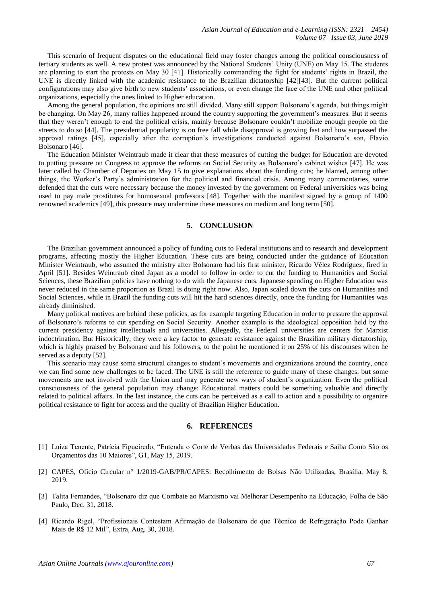This scenario of frequent disputes on the educational field may foster changes among the political consciousness of tertiary students as well. A new protest was announced by the National Students' Unity (UNE) on May 15. The students are planning to start the protests on May 30 [41]. Historically commanding the fight for students' rights in Brazil, the UNE is directly linked with the academic resistance to the Brazilian dictatorship [42][43]. But the current political configurations may also give birth to new students' associations, or even change the face of the UNE and other political organizations, especially the ones linked to Higher education.

Among the general population, the opinions are still divided. Many still support Bolsonaro's agenda, but things might be changing. On May 26, many rallies happened around the country supporting the government's measures. But it seems that they weren't enough to end the political crisis, mainly because Bolsonaro couldn't mobilize enough people on the streets to do so [44]. The presidential popularity is on free fall while disapproval is growing fast and how surpassed the approval ratings [45], especially after the corruption's investigations conducted against Bolsonaro's son, Flavio Bolsonaro [46].

The Education Minister Weintraub made it clear that these measures of cutting the budget for Education are devoted to putting pressure on Congress to approve the reforms on Social Security as Bolsonaro's cabinet wishes [47]. He was later called by Chamber of Deputies on May 15 to give explanations about the funding cuts; he blamed, among other things, the Worker's Party's administration for the political and financial crisis. Among many commentaries, some defended that the cuts were necessary because the money invested by the government on Federal universities was being used to pay male prostitutes for homosexual professors [48]. Together with the manifest signed by a group of 1400 renowned academics [49], this pressure may undermine these measures on medium and long term [50].

# **5. CONCLUSION**

The Brazilian government announced a policy of funding cuts to Federal institutions and to research and development programs, affecting mostly the Higher Education. These cuts are being conducted under the guidance of Education Minister Weintraub, who assumed the ministry after Bolsonaro had his first minister, Ricardo Vélez Rodríguez, fired in April [51]. Besides Weintraub cited Japan as a model to follow in order to cut the funding to Humanities and Social Sciences, these Brazilian policies have nothing to do with the Japanese cuts. Japanese spending on Higher Education was never reduced in the same proportion as Brazil is doing right now. Also, Japan scaled down the cuts on Humanities and Social Sciences, while in Brazil the funding cuts will hit the hard sciences directly, once the funding for Humanities was already diminished.

Many political motives are behind these policies, as for example targeting Education in order to pressure the approval of Bolsonaro's reforms to cut spending on Social Security. Another example is the ideological opposition held by the current presidency against intellectuals and universities. Allegedly, the Federal universities are centers for Marxist indoctrination. But Historically, they were a key factor to generate resistance against the Brazilian military dictatorship, which is highly praised by Bolsonaro and his followers, to the point he mentioned it on 25% of his discourses when he served as a deputy [52].

This scenario may cause some structural changes to student's movements and organizations around the country, once we can find some new challenges to be faced. The UNE is still the reference to guide many of these changes, but some movements are not involved with the Union and may generate new ways of student's organization. Even the political consciousness of the general population may change: Educational matters could be something valuable and directly related to political affairs. In the last instance, the cuts can be perceived as a call to action and a possibility to organize political resistance to fight for access and the quality of Brazilian Higher Education.

#### **6. REFERENCES**

- [1] Luiza Tenente, Patrícia Figueiredo, "Entenda o Corte de Verbas das Universidades Federais e Saiba Como São os Orçamentos das 10 Maiores", G1, May 15, 2019.
- [2] CAPES, Ofício Circular n° 1/2019-GAB/PR/CAPES: Recolhimento de Bolsas Não Utilizadas, Brasília, May 8, 2019.
- [3] Talita Fernandes, "Bolsonaro diz que Combate ao Marxismo vai Melhorar Desempenho na Educação, Folha de São Paulo, Dec. 31, 2018.
- [4] Ricardo Rigel, "Profissionais Contestam Afirmação de Bolsonaro de que Técnico de Refrigeração Pode Ganhar Mais de R\$ 12 Mil", Extra, Aug. 30, 2018.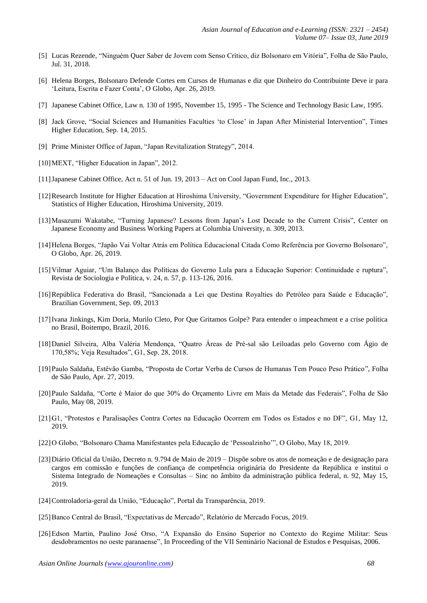- [5] Lucas Rezende, "Ninguém Quer Saber de Jovem com Senso Crítico, diz Bolsonaro em Vitória", Folha de São Paulo, Jul. 31, 2018.
- [6] Helena Borges, Bolsonaro Defende Cortes em Cursos de Humanas e diz que Dinheiro do Contribuinte Deve ir para 'Leitura, Escrita e Fazer Conta', O Globo, Apr. 26, 2019.
- [7] Japanese Cabinet Office, Law n. 130 of 1995, November 15, 1995 The Science and Technology Basic Law, 1995.
- [8] Jack Grove, "Social Sciences and Humanities Faculties 'to Close' in Japan After Ministerial Intervention", Times Higher Education, Sep. 14, 2015.
- [9] Prime Minister Office of Japan, "Japan Revitalization Strategy", 2014.
- [10]MEXT, "Higher Education in Japan", 2012.
- [11]Japanese Cabinet Office, Act n. 51 of Jun. 19, 2013 Act on Cool Japan Fund, Inc., 2013.
- [12]Research Institute for Higher Education at Hiroshima University, "Government Expenditure for Higher Education", Statistics of Higher Education, Hiroshima University, 2019.
- [13]Masazumi Wakatabe, "Turning Japanese? Lessons from Japan's Lost Decade to the Current Crisis", Center on Japanese Economy and Business Working Papers at Columbia University, n. 309, 2013.
- [14]Helena Borges, "Japão Vai Voltar Atrás em Política Educacional Citada Como Referência por Governo Bolsonaro", O Globo, Apr. 26, 2019.
- [15]Vilmar Aguiar, "Um Balanço das Políticas do Governo Lula para a Educação Superior: Continuidade e ruptura", Revista de Sociologia e Política, v. 24, n. 57, p. 113-126, 2016.
- [16]República Federativa do Brasil, "Sancionada a Lei que Destina Royalties do Petróleo para Saúde e Educação", Brazilian Government, Sep. 09, 2013
- [17]Ivana Jinkings, Kim Doria, Murilo Cleto, Por Que Gritamos Golpe? Para entender o impeachment e a crise política no Brasil, Boitempo, Brazil, 2016.
- [18]Daniel Silveira, Alba Valéria Mendonça, "Quatro Áreas de Pré-sal são Leiloadas pelo Governo com Ágio de 170,58%; Veja Resultados", G1, Sep. 28, 2018.
- [19]Paulo Saldaña, Estêvão Gamba, "Proposta de Cortar Verba de Cursos de Humanas Tem Pouco Peso Prático", Folha de São Paulo, Apr. 27, 2019.
- [20]Paulo Saldaña, "Corte é Maior do que 30% do Orçamento Livre em Mais da Metade das Federais", Folha de São Paulo, May 08, 2019.
- [21]G1, "Protestos e Paralisações Contra Cortes na Educação Ocorrem em Todos os Estados e no DF", G1, May 12, 2019.
- [22]O Globo, "Bolsonaro Chama Manifestantes pela Educação de 'Pessoalzinho'", O Globo, May 18, 2019.
- [23]Diário Oficial da União, Decreto n. 9.794 de Maio de 2019 Dispõe sobre os atos de nomeação e de designação para cargos em comissão e funções de confiança de competência originária do Presidente da República e institui o Sistema Integrado de Nomeações e Consultas – Sinc no âmbito da administração pública federal, n. 92, May 15, 2019.
- [24]Controladoria-geral da União, "Educação", Portal da Transparência, 2019.
- [25]Banco Central do Brasil, "Expectativas de Mercado", Relatório de Mercado Focus, 2019.
- [26]Edson Martin, Paulino José Orso, "A Expansão do Ensino Superior no Contexto do Regime Militar: Seus desdobramentos no oeste paranaense", In Proceeding of the VII Seminário Nacional de Estudos e Pesquisas, 2006.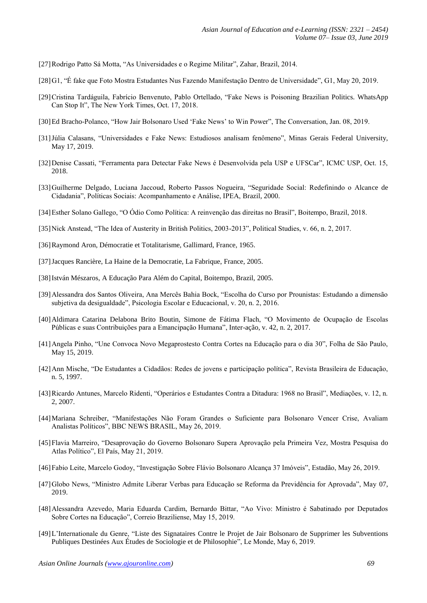- [27]Rodrigo Patto Sá Motta, "As Universidades e o Regime Militar", Zahar, Brazil, 2014.
- [28]G1, "É fake que Foto Mostra Estudantes Nus Fazendo Manifestação Dentro de Universidade", G1, May 20, 2019.
- [29]Cristina Tardáguila, Fabrício Benvenuto, Pablo Ortellado, "Fake News is Poisoning Brazilian Politics. WhatsApp Can Stop It", The New York Times, Oct. 17, 2018.
- [30]Ed Bracho-Polanco, "How Jair Bolsonaro Used 'Fake News' to Win Power", The Conversation, Jan. 08, 2019.
- [31]Júlia Calasans, "Universidades e Fake News: Estudiosos analisam fenômeno", Minas Gerais Federal University, May 17, 2019.
- [32]Denise Cassati, "Ferramenta para Detectar Fake News é Desenvolvida pela USP e UFSCar", ICMC USP, Oct. 15, 2018.
- [33]Guilherme Delgado, Luciana Jaccoud, Roberto Passos Nogueira, "Seguridade Social: Redefinindo o Alcance de Cidadania", Políticas Sociais: Acompanhamento e Análise, IPEA, Brazil, 2000.
- [34]Esther Solano Gallego, "O Ódio Como Política: A reinvenção das direitas no Brasil", Boitempo, Brazil, 2018.
- [35]Nick Anstead, "The Idea of Austerity in British Politics, 2003-2013", Political Studies, v. 66, n. 2, 2017.
- [36]Raymond Aron, Démocratie et Totalitarisme, Gallimard, France, 1965.
- [37]Jacques Rancière, La Haine de la Democratie, La Fabrique, France, 2005.
- [38]István Mészaros, A Educação Para Além do Capital, Boitempo, Brazil, 2005.
- [39]Alessandra dos Santos Oliveira, Ana Mercês Bahia Bock, "Escolha do Curso por Prounistas: Estudando a dimensão subjetiva da desigualdade", Psicologia Escolar e Educacional, v. 20, n. 2, 2016.
- [40]Aldimara Catarina Delabona Brito Boutin, Simone de Fátima Flach, "O Movimento de Ocupação de Escolas Públicas e suas Contribuições para a Emancipação Humana", Inter-ação, v. 42, n. 2, 2017.
- [41]Angela Pinho, "Une Convoca Novo Megaprostesto Contra Cortes na Educação para o dia 30", Folha de São Paulo, May 15, 2019.
- [42]Ann Mische, "De Estudantes a Cidadãos: Redes de jovens e participação política", Revista Brasileira de Educação, n. 5, 1997.
- [43]Ricardo Antunes, Marcelo Ridenti, "Operários e Estudantes Contra a Ditadura: 1968 no Brasil", Mediações, v. 12, n. 2, 2007.
- [44]Mariana Schreiber, "Manifestações Não Foram Grandes o Suficiente para Bolsonaro Vencer Crise, Avaliam Analistas Políticos", BBC NEWS BRASIL, May 26, 2019.
- [45]Flavia Marreiro, "Desaprovação do Governo Bolsonaro Supera Aprovação pela Primeira Vez, Mostra Pesquisa do Atlas Político", El País, May 21, 2019.
- [46]Fabio Leite, Marcelo Godoy, "Investigação Sobre Flávio Bolsonaro Alcança 37 Imóveis", Estadão, May 26, 2019.
- [47]Globo News, "Ministro Admite Liberar Verbas para Educação se Reforma da Previdência for Aprovada", May 07, 2019.
- [48]Alessandra Azevedo, Maria Eduarda Cardim, Bernardo Bittar, "Ao Vivo: Ministro é Sabatinado por Deputados Sobre Cortes na Educação", Correio Braziliense, May 15, 2019.
- [49]L'Internationale du Genre, "Liste des Signataires Contre le Projet de Jair Bolsonaro de Supprimer les Subventions Publiques Destinées Aux Études de Sociologie et de Philosophie", Le Monde, May 6, 2019.